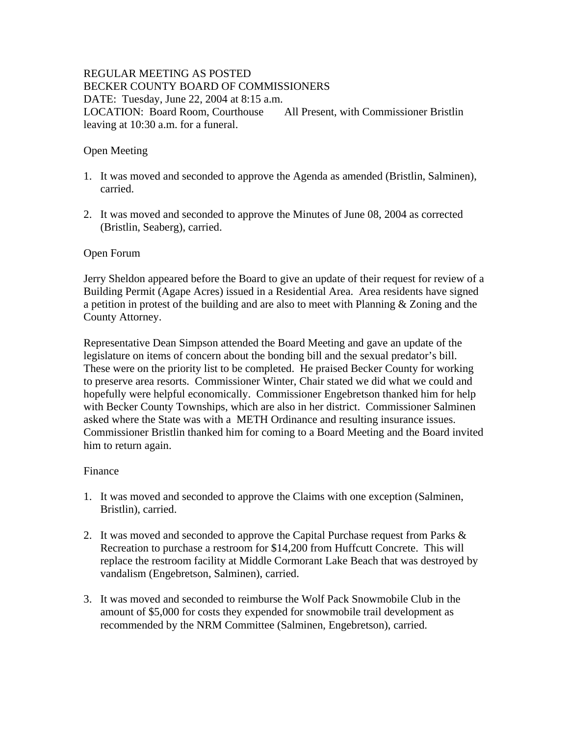# REGULAR MEETING AS POSTED BECKER COUNTY BOARD OF COMMISSIONERS DATE: Tuesday, June 22, 2004 at 8:15 a.m. LOCATION: Board Room, Courthouse All Present, with Commissioner Bristlin leaving at 10:30 a.m. for a funeral.

# Open Meeting

- 1. It was moved and seconded to approve the Agenda as amended (Bristlin, Salminen), carried.
- 2. It was moved and seconded to approve the Minutes of June 08, 2004 as corrected (Bristlin, Seaberg), carried.

### Open Forum

Jerry Sheldon appeared before the Board to give an update of their request for review of a Building Permit (Agape Acres) issued in a Residential Area. Area residents have signed a petition in protest of the building and are also to meet with Planning & Zoning and the County Attorney.

Representative Dean Simpson attended the Board Meeting and gave an update of the legislature on items of concern about the bonding bill and the sexual predator's bill. These were on the priority list to be completed. He praised Becker County for working to preserve area resorts. Commissioner Winter, Chair stated we did what we could and hopefully were helpful economically. Commissioner Engebretson thanked him for help with Becker County Townships, which are also in her district. Commissioner Salminen asked where the State was with a METH Ordinance and resulting insurance issues. Commissioner Bristlin thanked him for coming to a Board Meeting and the Board invited him to return again.

### Finance

- 1. It was moved and seconded to approve the Claims with one exception (Salminen, Bristlin), carried.
- 2. It was moved and seconded to approve the Capital Purchase request from Parks  $\&$ Recreation to purchase a restroom for \$14,200 from Huffcutt Concrete. This will replace the restroom facility at Middle Cormorant Lake Beach that was destroyed by vandalism (Engebretson, Salminen), carried.
- 3. It was moved and seconded to reimburse the Wolf Pack Snowmobile Club in the amount of \$5,000 for costs they expended for snowmobile trail development as recommended by the NRM Committee (Salminen, Engebretson), carried.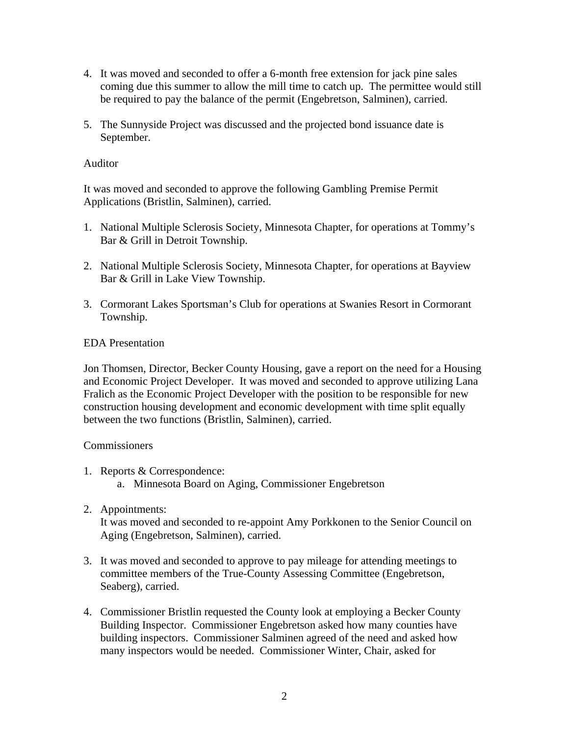- 4. It was moved and seconded to offer a 6-month free extension for jack pine sales coming due this summer to allow the mill time to catch up. The permittee would still be required to pay the balance of the permit (Engebretson, Salminen), carried.
- 5. The Sunnyside Project was discussed and the projected bond issuance date is September.

# Auditor

It was moved and seconded to approve the following Gambling Premise Permit Applications (Bristlin, Salminen), carried.

- 1. National Multiple Sclerosis Society, Minnesota Chapter, for operations at Tommy's Bar & Grill in Detroit Township.
- 2. National Multiple Sclerosis Society, Minnesota Chapter, for operations at Bayview Bar & Grill in Lake View Township.
- 3. Cormorant Lakes Sportsman's Club for operations at Swanies Resort in Cormorant Township.

# EDA Presentation

Jon Thomsen, Director, Becker County Housing, gave a report on the need for a Housing and Economic Project Developer. It was moved and seconded to approve utilizing Lana Fralich as the Economic Project Developer with the position to be responsible for new construction housing development and economic development with time split equally between the two functions (Bristlin, Salminen), carried.

### **Commissioners**

- 1. Reports & Correspondence:
	- a. Minnesota Board on Aging, Commissioner Engebretson
- 2. Appointments:

It was moved and seconded to re-appoint Amy Porkkonen to the Senior Council on Aging (Engebretson, Salminen), carried.

- 3. It was moved and seconded to approve to pay mileage for attending meetings to committee members of the True-County Assessing Committee (Engebretson, Seaberg), carried.
- 4. Commissioner Bristlin requested the County look at employing a Becker County Building Inspector. Commissioner Engebretson asked how many counties have building inspectors. Commissioner Salminen agreed of the need and asked how many inspectors would be needed. Commissioner Winter, Chair, asked for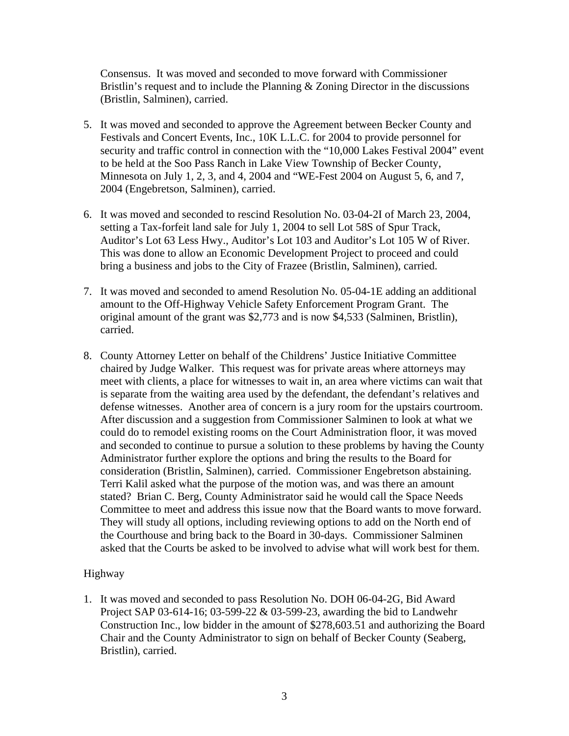Consensus. It was moved and seconded to move forward with Commissioner Bristlin's request and to include the Planning & Zoning Director in the discussions (Bristlin, Salminen), carried.

- 5. It was moved and seconded to approve the Agreement between Becker County and Festivals and Concert Events, Inc., 10K L.L.C. for 2004 to provide personnel for security and traffic control in connection with the "10,000 Lakes Festival 2004" event to be held at the Soo Pass Ranch in Lake View Township of Becker County, Minnesota on July 1, 2, 3, and 4, 2004 and "WE-Fest 2004 on August 5, 6, and 7, 2004 (Engebretson, Salminen), carried.
- 6. It was moved and seconded to rescind Resolution No. 03-04-2I of March 23, 2004, setting a Tax-forfeit land sale for July 1, 2004 to sell Lot 58S of Spur Track, Auditor's Lot 63 Less Hwy., Auditor's Lot 103 and Auditor's Lot 105 W of River. This was done to allow an Economic Development Project to proceed and could bring a business and jobs to the City of Frazee (Bristlin, Salminen), carried.
- 7. It was moved and seconded to amend Resolution No. 05-04-1E adding an additional amount to the Off-Highway Vehicle Safety Enforcement Program Grant. The original amount of the grant was \$2,773 and is now \$4,533 (Salminen, Bristlin), carried.
- 8. County Attorney Letter on behalf of the Childrens' Justice Initiative Committee chaired by Judge Walker. This request was for private areas where attorneys may meet with clients, a place for witnesses to wait in, an area where victims can wait that is separate from the waiting area used by the defendant, the defendant's relatives and defense witnesses. Another area of concern is a jury room for the upstairs courtroom. After discussion and a suggestion from Commissioner Salminen to look at what we could do to remodel existing rooms on the Court Administration floor, it was moved and seconded to continue to pursue a solution to these problems by having the County Administrator further explore the options and bring the results to the Board for consideration (Bristlin, Salminen), carried. Commissioner Engebretson abstaining. Terri Kalil asked what the purpose of the motion was, and was there an amount stated? Brian C. Berg, County Administrator said he would call the Space Needs Committee to meet and address this issue now that the Board wants to move forward. They will study all options, including reviewing options to add on the North end of the Courthouse and bring back to the Board in 30-days. Commissioner Salminen asked that the Courts be asked to be involved to advise what will work best for them.

# Highway

1. It was moved and seconded to pass Resolution No. DOH 06-04-2G, Bid Award Project SAP 03-614-16; 03-599-22 & 03-599-23, awarding the bid to Landwehr Construction Inc., low bidder in the amount of \$278,603.51 and authorizing the Board Chair and the County Administrator to sign on behalf of Becker County (Seaberg, Bristlin), carried.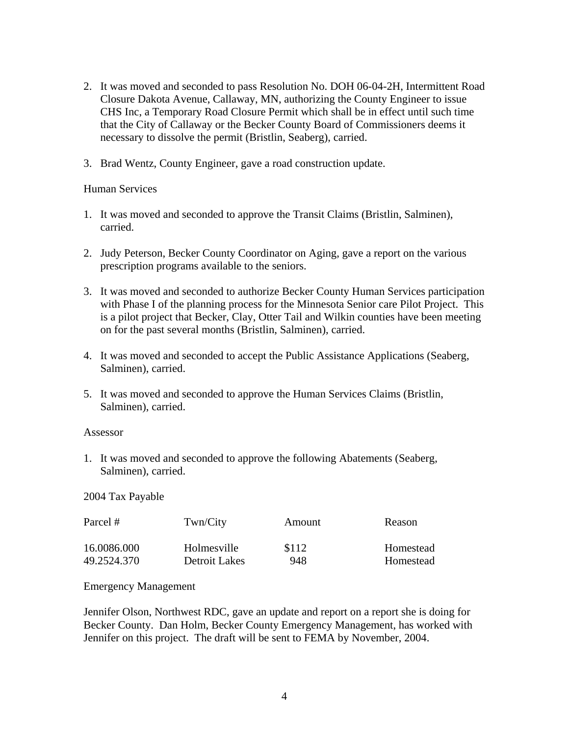- 2. It was moved and seconded to pass Resolution No. DOH 06-04-2H, Intermittent Road Closure Dakota Avenue, Callaway, MN, authorizing the County Engineer to issue CHS Inc, a Temporary Road Closure Permit which shall be in effect until such time that the City of Callaway or the Becker County Board of Commissioners deems it necessary to dissolve the permit (Bristlin, Seaberg), carried.
- 3. Brad Wentz, County Engineer, gave a road construction update.

### Human Services

- 1. It was moved and seconded to approve the Transit Claims (Bristlin, Salminen), carried.
- 2. Judy Peterson, Becker County Coordinator on Aging, gave a report on the various prescription programs available to the seniors.
- 3. It was moved and seconded to authorize Becker County Human Services participation with Phase I of the planning process for the Minnesota Senior care Pilot Project. This is a pilot project that Becker, Clay, Otter Tail and Wilkin counties have been meeting on for the past several months (Bristlin, Salminen), carried.
- 4. It was moved and seconded to accept the Public Assistance Applications (Seaberg, Salminen), carried.
- 5. It was moved and seconded to approve the Human Services Claims (Bristlin, Salminen), carried.

#### Assessor

1. It was moved and seconded to approve the following Abatements (Seaberg, Salminen), carried.

### 2004 Tax Payable

| Parcel #    | Twn/City      | Amount | Reason    |
|-------------|---------------|--------|-----------|
| 16.0086.000 | Holmesville   | \$112  | Homestead |
| 49.2524.370 | Detroit Lakes | 948    | Homestead |

### Emergency Management

Jennifer Olson, Northwest RDC, gave an update and report on a report she is doing for Becker County. Dan Holm, Becker County Emergency Management, has worked with Jennifer on this project. The draft will be sent to FEMA by November, 2004.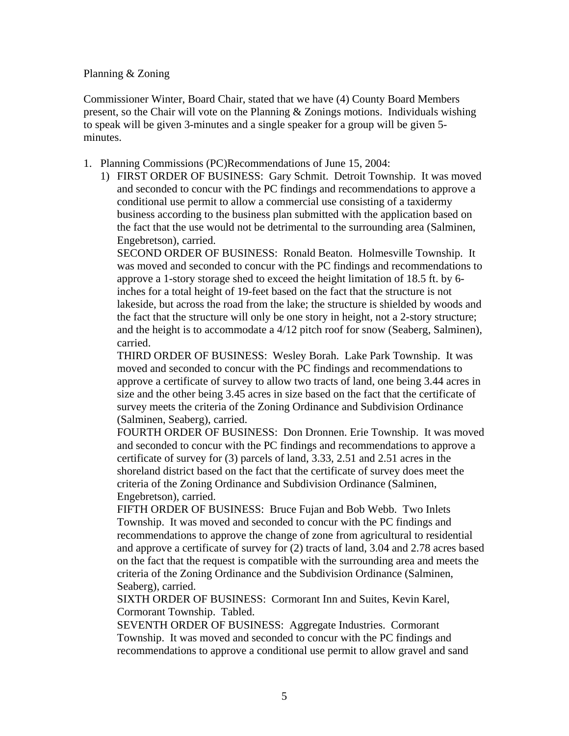#### Planning & Zoning

Commissioner Winter, Board Chair, stated that we have (4) County Board Members present, so the Chair will vote on the Planning & Zonings motions. Individuals wishing to speak will be given 3-minutes and a single speaker for a group will be given 5 minutes.

- 1. Planning Commissions (PC)Recommendations of June 15, 2004:
	- 1) FIRST ORDER OF BUSINESS: Gary Schmit. Detroit Township. It was moved and seconded to concur with the PC findings and recommendations to approve a conditional use permit to allow a commercial use consisting of a taxidermy business according to the business plan submitted with the application based on the fact that the use would not be detrimental to the surrounding area (Salminen, Engebretson), carried.

SECOND ORDER OF BUSINESS: Ronald Beaton. Holmesville Township. It was moved and seconded to concur with the PC findings and recommendations to approve a 1-story storage shed to exceed the height limitation of 18.5 ft. by 6 inches for a total height of 19-feet based on the fact that the structure is not lakeside, but across the road from the lake; the structure is shielded by woods and the fact that the structure will only be one story in height, not a 2-story structure; and the height is to accommodate a 4/12 pitch roof for snow (Seaberg, Salminen), carried.

THIRD ORDER OF BUSINESS: Wesley Borah. Lake Park Township. It was moved and seconded to concur with the PC findings and recommendations to approve a certificate of survey to allow two tracts of land, one being 3.44 acres in size and the other being 3.45 acres in size based on the fact that the certificate of survey meets the criteria of the Zoning Ordinance and Subdivision Ordinance (Salminen, Seaberg), carried.

FOURTH ORDER OF BUSINESS: Don Dronnen. Erie Township. It was moved and seconded to concur with the PC findings and recommendations to approve a certificate of survey for (3) parcels of land, 3.33, 2.51 and 2.51 acres in the shoreland district based on the fact that the certificate of survey does meet the criteria of the Zoning Ordinance and Subdivision Ordinance (Salminen, Engebretson), carried.

FIFTH ORDER OF BUSINESS: Bruce Fujan and Bob Webb. Two Inlets Township. It was moved and seconded to concur with the PC findings and recommendations to approve the change of zone from agricultural to residential and approve a certificate of survey for (2) tracts of land, 3.04 and 2.78 acres based on the fact that the request is compatible with the surrounding area and meets the criteria of the Zoning Ordinance and the Subdivision Ordinance (Salminen, Seaberg), carried.

SIXTH ORDER OF BUSINESS: Cormorant Inn and Suites, Kevin Karel, Cormorant Township. Tabled.

SEVENTH ORDER OF BUSINESS: Aggregate Industries. Cormorant Township. It was moved and seconded to concur with the PC findings and recommendations to approve a conditional use permit to allow gravel and sand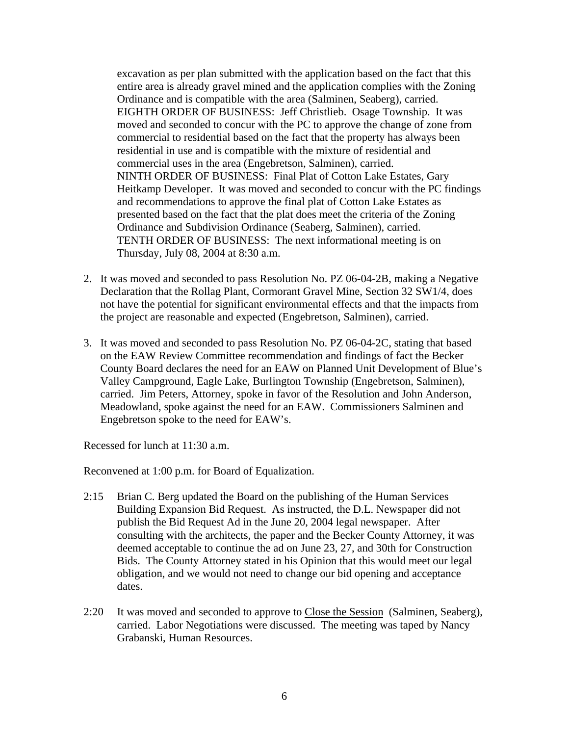excavation as per plan submitted with the application based on the fact that this entire area is already gravel mined and the application complies with the Zoning Ordinance and is compatible with the area (Salminen, Seaberg), carried. EIGHTH ORDER OF BUSINESS: Jeff Christlieb. Osage Township. It was moved and seconded to concur with the PC to approve the change of zone from commercial to residential based on the fact that the property has always been residential in use and is compatible with the mixture of residential and commercial uses in the area (Engebretson, Salminen), carried. NINTH ORDER OF BUSINESS: Final Plat of Cotton Lake Estates, Gary Heitkamp Developer. It was moved and seconded to concur with the PC findings and recommendations to approve the final plat of Cotton Lake Estates as presented based on the fact that the plat does meet the criteria of the Zoning Ordinance and Subdivision Ordinance (Seaberg, Salminen), carried. TENTH ORDER OF BUSINESS: The next informational meeting is on Thursday, July 08, 2004 at 8:30 a.m.

- 2. It was moved and seconded to pass Resolution No. PZ 06-04-2B, making a Negative Declaration that the Rollag Plant, Cormorant Gravel Mine, Section 32 SW1/4, does not have the potential for significant environmental effects and that the impacts from the project are reasonable and expected (Engebretson, Salminen), carried.
- 3. It was moved and seconded to pass Resolution No. PZ 06-04-2C, stating that based on the EAW Review Committee recommendation and findings of fact the Becker County Board declares the need for an EAW on Planned Unit Development of Blue's Valley Campground, Eagle Lake, Burlington Township (Engebretson, Salminen), carried. Jim Peters, Attorney, spoke in favor of the Resolution and John Anderson, Meadowland, spoke against the need for an EAW. Commissioners Salminen and Engebretson spoke to the need for EAW's.

Recessed for lunch at 11:30 a.m.

Reconvened at 1:00 p.m. for Board of Equalization.

- 2:15 Brian C. Berg updated the Board on the publishing of the Human Services Building Expansion Bid Request. As instructed, the D.L. Newspaper did not publish the Bid Request Ad in the June 20, 2004 legal newspaper. After consulting with the architects, the paper and the Becker County Attorney, it was deemed acceptable to continue the ad on June 23, 27, and 30th for Construction Bids. The County Attorney stated in his Opinion that this would meet our legal obligation, and we would not need to change our bid opening and acceptance dates.
- 2:20 It was moved and seconded to approve to Close the Session (Salminen, Seaberg), carried. Labor Negotiations were discussed. The meeting was taped by Nancy Grabanski, Human Resources.